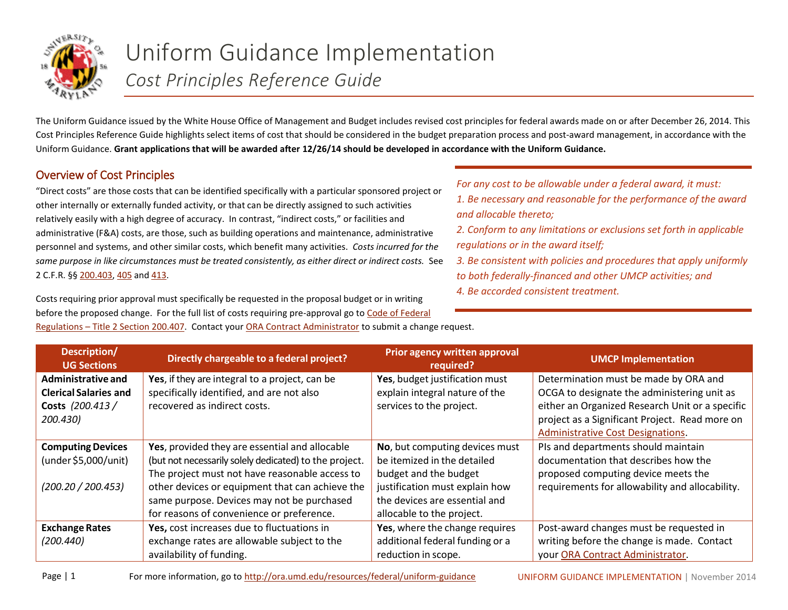

## Uniform Guidance Implementation *Cost Principles Reference Guide*

The Uniform Guidance issued by the White House Office of Management and Budget includes revised cost principles for federal awards made on or after December 26, 2014. This Cost Principles Reference Guide highlights select items of cost that should be considered in the budget preparation process and post-award management, in accordance with the Uniform Guidance. **Grant applications that will be awarded after 12/26/14 should be developed in accordance with the Uniform Guidance.** 

## Overview of Cost Principles

"Direct costs" are those costs that can be identified specifically with a particular sponsored project or other internally or externally funded activity, or that can be directly assigned to such activities relatively easily with a high degree of accuracy. In contrast, "indirect costs," or facilities and administrative (F&A) costs, are those, such as building operations and maintenance, administrative personnel and systems, and other similar costs, which benefit many activities. *Costs incurred for the same purpose in like circumstances must be treated consistently, as either direct or indirect costs.* See 2 C.F.R. §§ [200.403,](http://www.ecfr.gov/cgi-bin/text-idx?SID=fbb70fe83009e152ac327498f6ec18c4&node=se2.1.200_1403&rgn=div8) [405](http://www.ecfr.gov/cgi-bin/text-idx?SID=fbb70fe83009e152ac327498f6ec18c4&node=se2.1.200_1405&rgn=div8) and [413.](http://www.ecfr.gov/cgi-bin/text-idx?SID=fbb70fe83009e152ac327498f6ec18c4&node=se2.1.200_1413&rgn=div8)

Costs requiring prior approval must specifically be requested in the proposal budget or in writing before the proposed change. For the full list of costs requiring pre-approval go to [Code of Federal](http://www.gpo.gov/fdsys/pkg/CFR-2014-title2-vol1/xml/CFR-2014-title2-vol1-sec200-407.xml)  *For any cost to be allowable under a federal award, it must:*

- *1. Be necessary and reasonable for the performance of the award and allocable thereto;*
- *2. Conform to any limitations or exclusions set forth in applicable regulations or in the award itself;*
- *3. Be consistent with policies and procedures that apply uniformly to both federally-financed and other UMCP activities; and 4. Be accorded consistent treatment.*

| Description/<br><b>UG Sections</b>                                                        | Directly chargeable to a federal project?                                                                                                                                                                                                                                                                | <b>Prior agency written approval</b><br>required?                                                                                                                                      | <b>UMCP Implementation</b>                                                                                                                                                                                                            |
|-------------------------------------------------------------------------------------------|----------------------------------------------------------------------------------------------------------------------------------------------------------------------------------------------------------------------------------------------------------------------------------------------------------|----------------------------------------------------------------------------------------------------------------------------------------------------------------------------------------|---------------------------------------------------------------------------------------------------------------------------------------------------------------------------------------------------------------------------------------|
| <b>Administrative and</b><br><b>Clerical Salaries and</b><br>Costs (200.413 /<br>200.430) | Yes, if they are integral to a project, can be<br>specifically identified, and are not also<br>recovered as indirect costs.                                                                                                                                                                              | Yes, budget justification must<br>explain integral nature of the<br>services to the project.                                                                                           | Determination must be made by ORA and<br>OCGA to designate the administering unit as<br>either an Organized Research Unit or a specific<br>project as a Significant Project. Read more on<br><b>Administrative Cost Designations.</b> |
| <b>Computing Devices</b><br>(under \$5,000/unit)<br>(200.20 / 200.453)                    | Yes, provided they are essential and allocable<br>(but not necessarily solely dedicated) to the project.<br>The project must not have reasonable access to<br>other devices or equipment that can achieve the<br>same purpose. Devices may not be purchased<br>for reasons of convenience or preference. | No, but computing devices must<br>be itemized in the detailed<br>budget and the budget<br>justification must explain how<br>the devices are essential and<br>allocable to the project. | Pls and departments should maintain<br>documentation that describes how the<br>proposed computing device meets the<br>requirements for allowability and allocability.                                                                 |
| <b>Exchange Rates</b><br>(200.440)                                                        | Yes, cost increases due to fluctuations in<br>exchange rates are allowable subject to the<br>availability of funding.                                                                                                                                                                                    | Yes, where the change requires<br>additional federal funding or a<br>reduction in scope.                                                                                               | Post-award changes must be requested in<br>writing before the change is made. Contact<br>your ORA Contract Administrator.                                                                                                             |

Regulations – [Title 2 Section 200.407.](http://www.gpo.gov/fdsys/pkg/CFR-2014-title2-vol1/xml/CFR-2014-title2-vol1-sec200-407.xml) Contact your [ORA Contract Administrator](http://www.ora.umd.edu/staff) to submit a change request.